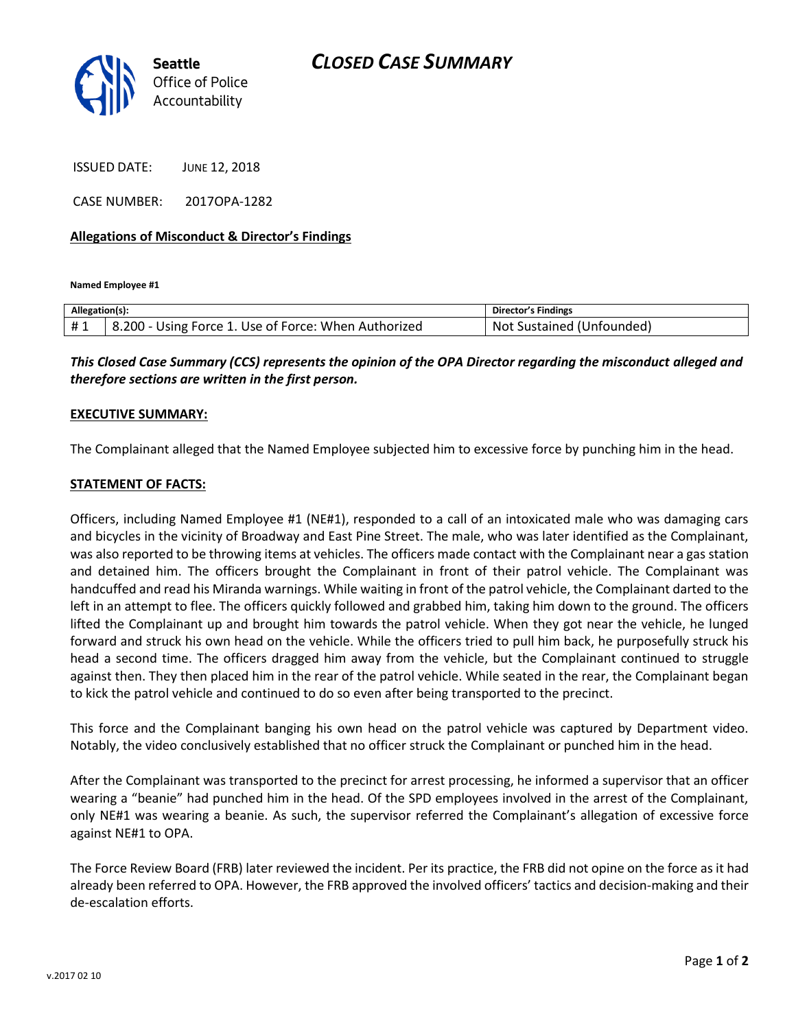

ISSUED DATE: JUNE 12, 2018

CASE NUMBER: 2017OPA-1282

## **Allegations of Misconduct & Director's Findings**

**Named Employee #1**

| Allegation(s): |                                                       | Director's Findings                 |
|----------------|-------------------------------------------------------|-------------------------------------|
| #1             | 8.200<br>Using Force 1. Use of Force: When Authorized | Unfounded)<br>Sustained (U<br>. Not |

*This Closed Case Summary (CCS) represents the opinion of the OPA Director regarding the misconduct alleged and therefore sections are written in the first person.* 

## **EXECUTIVE SUMMARY:**

The Complainant alleged that the Named Employee subjected him to excessive force by punching him in the head.

## **STATEMENT OF FACTS:**

Officers, including Named Employee #1 (NE#1), responded to a call of an intoxicated male who was damaging cars and bicycles in the vicinity of Broadway and East Pine Street. The male, who was later identified as the Complainant, was also reported to be throwing items at vehicles. The officers made contact with the Complainant near a gas station and detained him. The officers brought the Complainant in front of their patrol vehicle. The Complainant was handcuffed and read his Miranda warnings. While waiting in front of the patrol vehicle, the Complainant darted to the left in an attempt to flee. The officers quickly followed and grabbed him, taking him down to the ground. The officers lifted the Complainant up and brought him towards the patrol vehicle. When they got near the vehicle, he lunged forward and struck his own head on the vehicle. While the officers tried to pull him back, he purposefully struck his head a second time. The officers dragged him away from the vehicle, but the Complainant continued to struggle against then. They then placed him in the rear of the patrol vehicle. While seated in the rear, the Complainant began to kick the patrol vehicle and continued to do so even after being transported to the precinct.

This force and the Complainant banging his own head on the patrol vehicle was captured by Department video. Notably, the video conclusively established that no officer struck the Complainant or punched him in the head.

After the Complainant was transported to the precinct for arrest processing, he informed a supervisor that an officer wearing a "beanie" had punched him in the head. Of the SPD employees involved in the arrest of the Complainant, only NE#1 was wearing a beanie. As such, the supervisor referred the Complainant's allegation of excessive force against NE#1 to OPA.

The Force Review Board (FRB) later reviewed the incident. Per its practice, the FRB did not opine on the force as it had already been referred to OPA. However, the FRB approved the involved officers' tactics and decision-making and their de-escalation efforts.